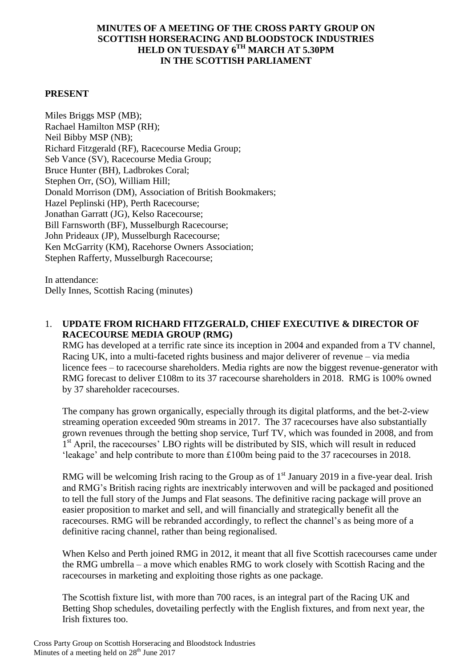### **MINUTES OF A MEETING OF THE CROSS PARTY GROUP ON SCOTTISH HORSERACING AND BLOODSTOCK INDUSTRIES HELD ON TUESDAY 6TH MARCH AT 5.30PM IN THE SCOTTISH PARLIAMENT**

### **PRESENT**

Miles Briggs MSP (MB); Rachael Hamilton MSP (RH); Neil Bibby MSP (NB); Richard Fitzgerald (RF), Racecourse Media Group; Seb Vance (SV), Racecourse Media Group; Bruce Hunter (BH), Ladbrokes Coral; Stephen Orr, (SO), William Hill; Donald Morrison (DM), Association of British Bookmakers; Hazel Peplinski (HP), Perth Racecourse; Jonathan Garratt (JG), Kelso Racecourse; Bill Farnsworth (BF), Musselburgh Racecourse; John Prideaux (JP), Musselburgh Racecourse; Ken McGarrity (KM), Racehorse Owners Association; Stephen Rafferty, Musselburgh Racecourse;

In attendance: Delly Innes, Scottish Racing (minutes)

### 1. **UPDATE FROM RICHARD FITZGERALD, CHIEF EXECUTIVE & DIRECTOR OF RACECOURSE MEDIA GROUP (RMG)**

RMG has developed at a terrific rate since its inception in 2004 and expanded from a TV channel, Racing UK, into a multi-faceted rights business and major deliverer of revenue – via media licence fees – to racecourse shareholders. Media rights are now the biggest revenue-generator with RMG forecast to deliver £108m to its 37 racecourse shareholders in 2018. RMG is 100% owned by 37 shareholder racecourses.

The company has grown organically, especially through its digital platforms, and the bet-2-view streaming operation exceeded 90m streams in 2017. The 37 racecourses have also substantially grown revenues through the betting shop service, Turf TV, which was founded in 2008, and from <sup>1st</sup> April, the racecourses' LBO rights will be distributed by SIS, which will result in reduced 'leakage' and help contribute to more than £100m being paid to the 37 racecourses in 2018.

RMG will be welcoming Irish racing to the Group as of  $1<sup>st</sup>$  January 2019 in a five-year deal. Irish and RMG's British racing rights are inextricably interwoven and will be packaged and positioned to tell the full story of the Jumps and Flat seasons. The definitive racing package will prove an easier proposition to market and sell, and will financially and strategically benefit all the racecourses. RMG will be rebranded accordingly, to reflect the channel's as being more of a definitive racing channel, rather than being regionalised.

When Kelso and Perth joined RMG in 2012, it meant that all five Scottish racecourses came under the RMG umbrella – a move which enables RMG to work closely with Scottish Racing and the racecourses in marketing and exploiting those rights as one package.

The Scottish fixture list, with more than 700 races, is an integral part of the Racing UK and Betting Shop schedules, dovetailing perfectly with the English fixtures, and from next year, the Irish fixtures too.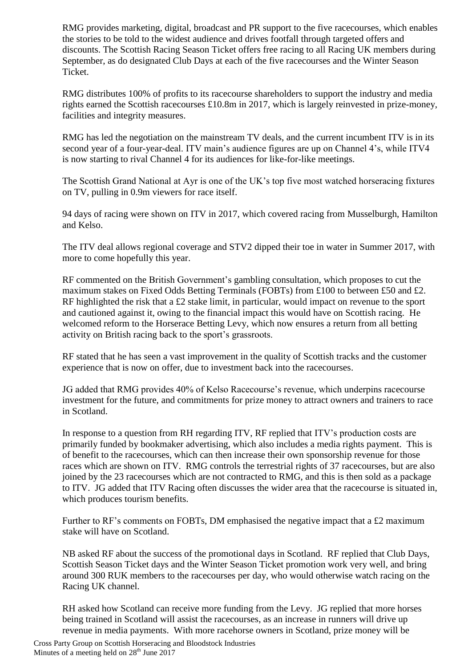RMG provides marketing, digital, broadcast and PR support to the five racecourses, which enables the stories to be told to the widest audience and drives footfall through targeted offers and discounts. The Scottish Racing Season Ticket offers free racing to all Racing UK members during September, as do designated Club Days at each of the five racecourses and the Winter Season Ticket.

RMG distributes 100% of profits to its racecourse shareholders to support the industry and media rights earned the Scottish racecourses £10.8m in 2017, which is largely reinvested in prize-money, facilities and integrity measures.

RMG has led the negotiation on the mainstream TV deals, and the current incumbent ITV is in its second year of a four-year-deal. ITV main's audience figures are up on Channel 4's, while ITV4 is now starting to rival Channel 4 for its audiences for like-for-like meetings.

The Scottish Grand National at Ayr is one of the UK's top five most watched horseracing fixtures on TV, pulling in 0.9m viewers for race itself.

94 days of racing were shown on ITV in 2017, which covered racing from Musselburgh, Hamilton and Kelso.

The ITV deal allows regional coverage and STV2 dipped their toe in water in Summer 2017, with more to come hopefully this year.

RF commented on the British Government's gambling consultation, which proposes to cut the maximum stakes on Fixed Odds Betting Terminals (FOBTs) from £100 to between £50 and £2. RF highlighted the risk that a £2 stake limit, in particular, would impact on revenue to the sport and cautioned against it, owing to the financial impact this would have on Scottish racing. He welcomed reform to the Horserace Betting Levy, which now ensures a return from all betting activity on British racing back to the sport's grassroots.

RF stated that he has seen a vast improvement in the quality of Scottish tracks and the customer experience that is now on offer, due to investment back into the racecourses.

JG added that RMG provides 40% of Kelso Racecourse's revenue, which underpins racecourse investment for the future, and commitments for prize money to attract owners and trainers to race in Scotland.

In response to a question from RH regarding ITV, RF replied that ITV's production costs are primarily funded by bookmaker advertising, which also includes a media rights payment. This is of benefit to the racecourses, which can then increase their own sponsorship revenue for those races which are shown on ITV. RMG controls the terrestrial rights of 37 racecourses, but are also joined by the 23 racecourses which are not contracted to RMG, and this is then sold as a package to ITV. JG added that ITV Racing often discusses the wider area that the racecourse is situated in, which produces tourism benefits.

Further to RF's comments on FOBTs, DM emphasised the negative impact that a  $\pounds 2$  maximum stake will have on Scotland.

NB asked RF about the success of the promotional days in Scotland. RF replied that Club Days, Scottish Season Ticket days and the Winter Season Ticket promotion work very well, and bring around 300 RUK members to the racecourses per day, who would otherwise watch racing on the Racing UK channel.

RH asked how Scotland can receive more funding from the Levy. JG replied that more horses being trained in Scotland will assist the racecourses, as an increase in runners will drive up revenue in media payments. With more racehorse owners in Scotland, prize money will be